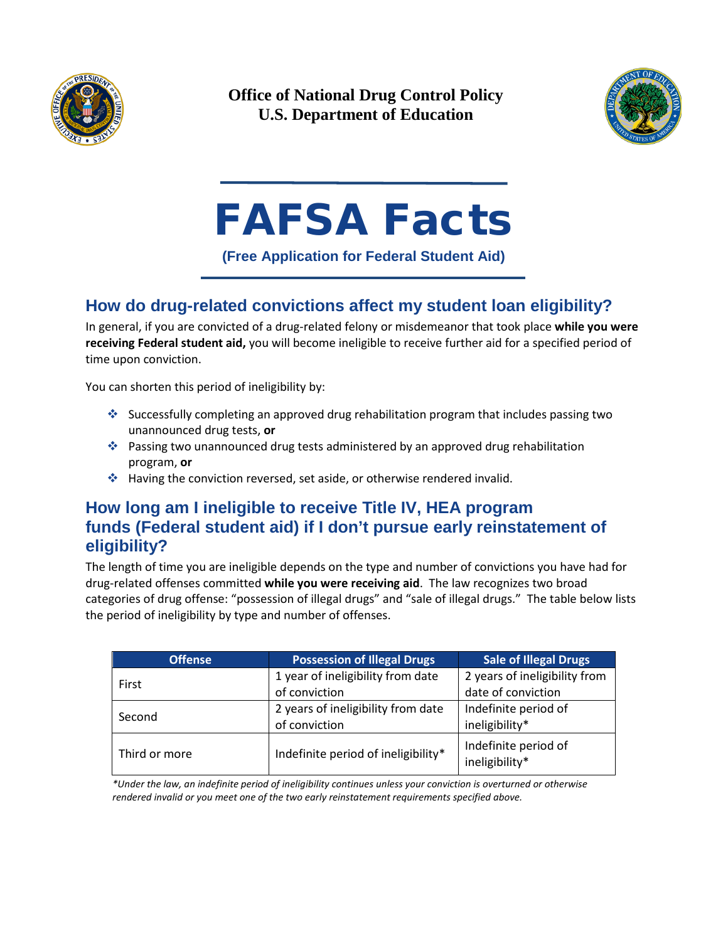

**Office of National Drug Control Policy U.S. Department of Education**



# FAFSA Facts

**(Free Application for Federal Student Aid)**

# **How do drug-related convictions affect my student loan eligibility?**

In general, if you are convicted of a drug-related felony or misdemeanor that took place **while you were receiving Federal student aid,** you will become ineligible to receive further aid for a specified period of time upon conviction.

You can shorten this period of ineligibility by:

- Successfully completing an approved drug rehabilitation program that includes passing two unannounced drug tests, **or**
- Passing two unannounced drug tests administered by an approved drug rehabilitation program, **or**
- \* Having the conviction reversed, set aside, or otherwise rendered invalid.

## **How long am I ineligible to receive Title IV, HEA program funds (Federal student aid) if I don't pursue early reinstatement of eligibility?**

The length of time you are ineligible depends on the type and number of convictions you have had for drug-related offenses committed **while you were receiving aid**. The law recognizes two broad categories of drug offense: "possession of illegal drugs" and "sale of illegal drugs." The table below lists the period of ineligibility by type and number of offenses.

| <b>Offense</b> | <b>Possession of Illegal Drugs</b>  | <b>Sale of Illegal Drugs</b>           |
|----------------|-------------------------------------|----------------------------------------|
| First          | 1 year of ineligibility from date   | 2 years of ineligibility from          |
|                | of conviction                       | date of conviction                     |
| Second         | 2 years of ineligibility from date  | Indefinite period of                   |
|                | of conviction                       | ineligibility*                         |
| Third or more  | Indefinite period of ineligibility* | Indefinite period of<br>ineligibility* |

*\*Under the law, an indefinite period of ineligibility continues unless your conviction is overturned or otherwise rendered invalid or you meet one of the two early reinstatement requirements specified above.*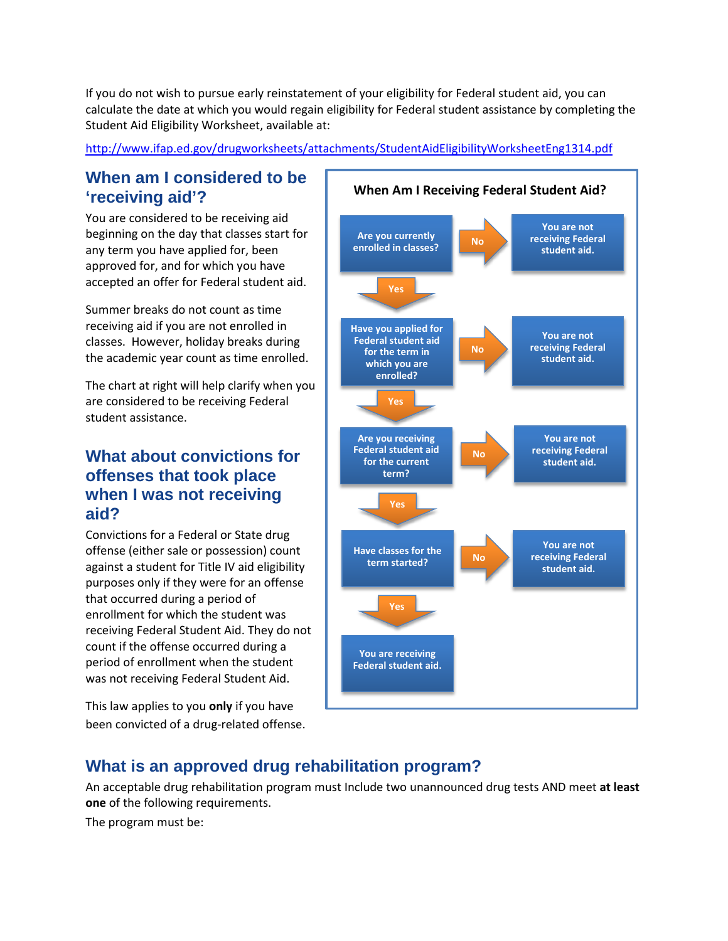If you do not wish to pursue early reinstatement of your eligibility for Federal student aid, you can calculate the date at which you would regain eligibility for Federal student assistance by completing the Student Aid Eligibility Worksheet, available at:

<http://www.ifap.ed.gov/drugworksheets/attachments/StudentAidEligibilityWorksheetEng1314.pdf>

## **When am I considered to be 'receiving aid'?**

You are considered to be receiving aid beginning on the day that classes start for any term you have applied for, been approved for, and for which you have accepted an offer for Federal student aid.

Summer breaks do not count as time receiving aid if you are not enrolled in classes. However, holiday breaks during the academic year count as time enrolled.

The chart at right will help clarify when you are considered to be receiving Federal student assistance.

## **What about convictions for offenses that took place when I was not receiving aid?**

Convictions for a Federal or State drug offense (either sale or possession) count against a student for Title IV aid eligibility purposes only if they were for an offense that occurred during a period of enrollment for which the student was receiving Federal Student Aid. They do not count if the offense occurred during a period of enrollment when the student was not receiving Federal Student Aid.

This law applies to you **only** if you have been convicted of a drug-related offense.



# **What is an approved drug rehabilitation program?**

An acceptable drug rehabilitation program must Include two unannounced drug tests AND meet **at least one** of the following requirements.

The program must be: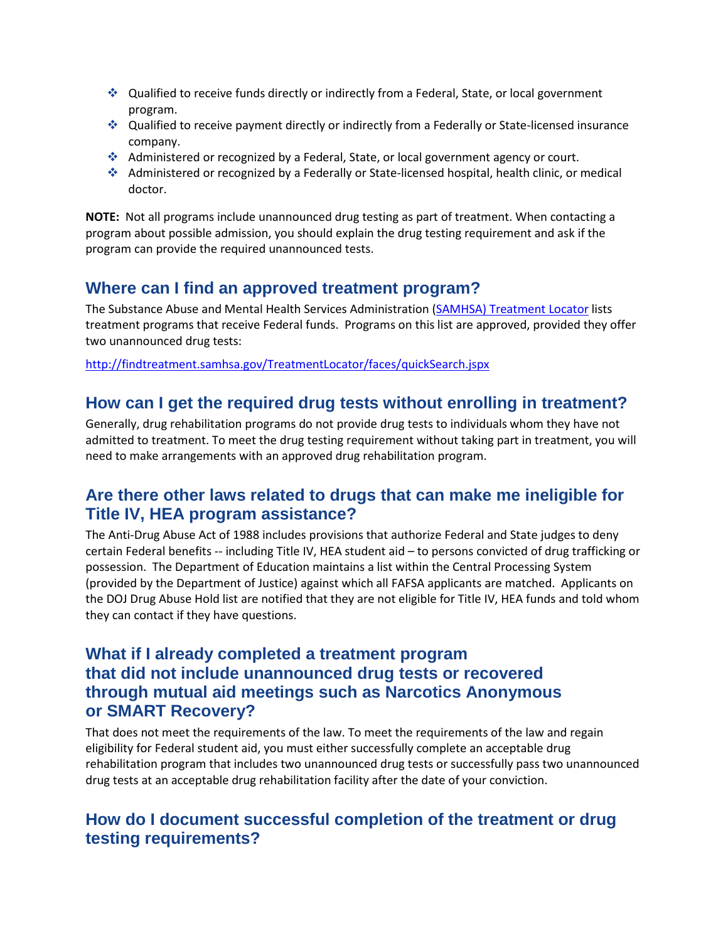- Qualified to receive funds directly or indirectly from a Federal, State, or local government program.
- Qualified to receive payment directly or indirectly from a Federally or State-licensed insurance company.
- Administered or recognized by a Federal, State, or local government agency or court.
- Administered or recognized by a Federally or State-licensed hospital, health clinic, or medical doctor.

**NOTE:** Not all programs include unannounced drug testing as part of treatment. When contacting a program about possible admission, you should explain the drug testing requirement and ask if the program can provide the required unannounced tests.

# **Where can I find an approved treatment program?**

The Substance Abuse and Mental Health Services Administration [\(SAMHSA\) Treatment Locator](http://findtreatment.samhsa.gov/TreatmentLocator/faces/quickSearch.jspx) lists treatment programs that receive Federal funds. Programs on this list are approved, provided they offer two unannounced drug tests:

<http://findtreatment.samhsa.gov/TreatmentLocator/faces/quickSearch.jspx>

# **How can I get the required drug tests without enrolling in treatment?**

Generally, drug rehabilitation programs do not provide drug tests to individuals whom they have not admitted to treatment. To meet the drug testing requirement without taking part in treatment, you will need to make arrangements with an approved drug rehabilitation program.

#### **Are there other laws related to drugs that can make me ineligible for Title IV, HEA program assistance?**

The Anti-Drug Abuse Act of 1988 includes provisions that authorize Federal and State judges to deny certain Federal benefits -- including Title IV, HEA student aid – to persons convicted of drug trafficking or possession. The Department of Education maintains a list within the Central Processing System (provided by the Department of Justice) against which all FAFSA applicants are matched. Applicants on the DOJ Drug Abuse Hold list are notified that they are not eligible for Title IV, HEA funds and told whom they can contact if they have questions.

#### **What if I already completed a treatment program that did not include unannounced drug tests or recovered through mutual aid meetings such as Narcotics Anonymous or SMART Recovery?**

That does not meet the requirements of the law. To meet the requirements of the law and regain eligibility for Federal student aid, you must either successfully complete an acceptable drug rehabilitation program that includes two unannounced drug tests or successfully pass two unannounced drug tests at an acceptable drug rehabilitation facility after the date of your conviction.

## **How do I document successful completion of the treatment or drug testing requirements?**